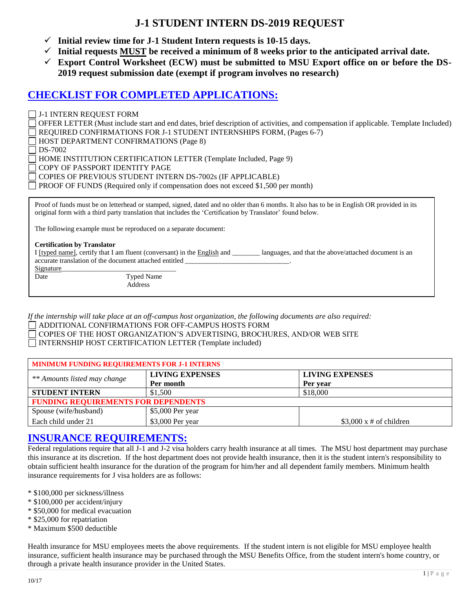## **J-1 STUDENT INTERN DS-2019 REQUEST**

- $\checkmark$  Initial review time for J-1 Student Intern requests is 10-15 days.
- **Initial requests MUST be received a minimum of 8 weeks prior to the anticipated arrival date.**
- **Export Control Worksheet (ECW) must be submitted to MSU Export office on or before the DS-2019 request submission date (exempt if program involves no research)**

## **CHECKLIST FOR COMPLETED APPLICATIONS:**

J-1 INTERN REQUEST FORM OFFER LETTER (Must include start and end dates, brief description of activities, and compensation if applicable. Template Included) REQUIRED CONFIRMATIONS FOR J-1 STUDENT INTERNSHIPS FORM, (Pages 6-7) HOST DEPARTMENT CONFIRMATIONS (Page 8)  $\Box$  DS-7002 HOME INSTITUTION CERTIFICATION LETTER (Template Included, Page 9) COPY OF PASSPORT IDENTITY PAGE COPIES OF PREVIOUS STUDENT INTERN DS-7002s (IF APPLICABLE) PROOF OF FUNDS (Required only if compensation does not exceed \$1,500 per month)

Proof of funds must be on letterhead or stamped, signed, dated and no older than 6 months. It also has to be in English OR provided in its original form with a third party translation that includes the 'Certification by Translator' found below.

The following example must be reproduced on a separate document:

#### **Certification by Translator**

I [typed name], certify that I am fluent (conversant) in the English and languages, and that the above/attached document is an accurate translation of the document attached entitled \_ Signature\_

| . |  |
|---|--|
|   |  |

Date Typed Name Address

*If the internship will take place at an off-campus host organization, the following documents are also required:* ADDITIONAL CONFIRMATIONS FOR OFF-CAMPUS HOSTS FORM COPIES OF THE HOST ORGANIZATION'S ADVERTISING, BROCHURES, AND/OR WEB SITE INTERNSHIP HOST CERTIFICATION LETTER (Template included)

| <b>MINIMUM FUNDING REQUIREMENTS FOR J-1 INTERNS</b> |                        |                               |  |  |
|-----------------------------------------------------|------------------------|-------------------------------|--|--|
| ** Amounts listed may change                        | <b>LIVING EXPENSES</b> | <b>LIVING EXPENSES</b>        |  |  |
|                                                     | Per month              | Per year                      |  |  |
| <b>STUDENT INTERN</b>                               | \$1,500                | \$18,000                      |  |  |
| <b>FUNDING REQUIREMENTS FOR DEPENDENTS</b>          |                        |                               |  |  |
| Spouse (wife/husband)                               | \$5,000 Per year       |                               |  |  |
| Each child under 21                                 | \$3,000 Per year       | $$3,000 \times #$ of children |  |  |

## **INSURANCE REQUIREMENTS:**

Federal regulations require that all J-1 and J-2 visa holders carry health insurance at all times. The MSU host department may purchase this insurance at its discretion. If the host department does not provide health insurance, then it is the student intern's responsibility to obtain sufficient health insurance for the duration of the program for him/her and all dependent family members. Minimum health insurance requirements for J visa holders are as follows:

- \* \$100,000 per sickness/illness
- \* \$100,000 per accident/injury
- \* \$50,000 for medical evacuation
- \* \$25,000 for repatriation
- \* Maximum \$500 deductible

Health insurance for MSU employees meets the above requirements. If the student intern is not eligible for MSU employee health insurance, sufficient health insurance may be purchased through the MSU Benefits Office, from the student intern's home country, or through a private health insurance provider in the United States.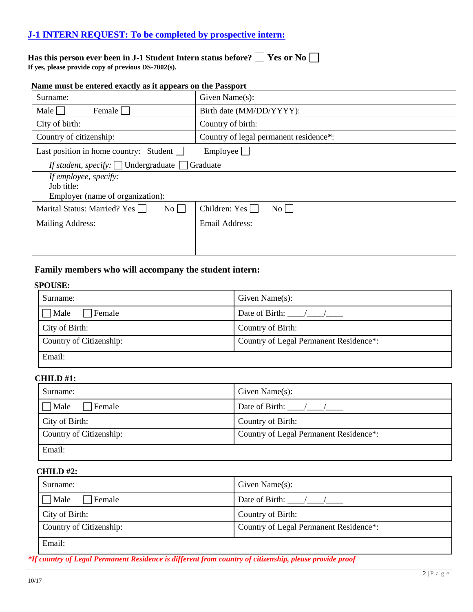### **J-1 INTERN REQUEST: To be completed by prospective intern:**

## **Has this person ever been in J-1 Student Intern status before? Yes or No**

**If yes, please provide copy of previous DS-7002(s).**

| Name must be entered exactly as it appears on the Passport |  |  |  |  |
|------------------------------------------------------------|--|--|--|--|

| Surname:                                         | Given Name(s):                         |
|--------------------------------------------------|----------------------------------------|
| Male<br>Female                                   | Birth date (MM/DD/YYYY):               |
| City of birth:                                   | Country of birth:                      |
| Country of citizenship:                          | Country of legal permanent residence*: |
| Last position in home country: Student $\Box$    | Employee                               |
| If student, specify: $\Box$ Undergraduate $\Box$ | Graduate                               |
| If employee, specify:                            |                                        |
| Job title:                                       |                                        |
| Employer (name of organization):                 |                                        |
| Marital Status: Married? Yes<br>$\rm{No}$        | Children: Yes $\Box$<br>$\rm{No}$      |
| <b>Mailing Address:</b>                          | <b>Email Address:</b>                  |
|                                                  |                                        |
|                                                  |                                        |

### **Family members who will accompany the student intern:**

#### **SPOUSE:**

| Surname:                | Given Name $(s)$ :                     |
|-------------------------|----------------------------------------|
| Male<br>Female          | Date of Birth: / /                     |
| City of Birth:          | Country of Birth:                      |
| Country of Citizenship: | Country of Legal Permanent Residence*: |
| Email:                  |                                        |

#### **CHILD #1:**

| Surname:                | Given Name $(s)$ :                     |
|-------------------------|----------------------------------------|
| Male<br>Female          | Date of Birth: $\frac{1}{2}$           |
| City of Birth:          | Country of Birth:                      |
| Country of Citizenship: | Country of Legal Permanent Residence*: |
| Email:                  |                                        |

#### **CHILD #2:**

| Surname:                 | Given Name $(s)$ :                     |
|--------------------------|----------------------------------------|
| $\exists$ Male<br>Female | Date of Birth: $\frac{1}{2}$           |
| City of Birth:           | Country of Birth:                      |
| Country of Citizenship:  | Country of Legal Permanent Residence*: |
| Email:                   |                                        |

*\*If country of Legal Permanent Residence is different from country of citizenship, please provide proof*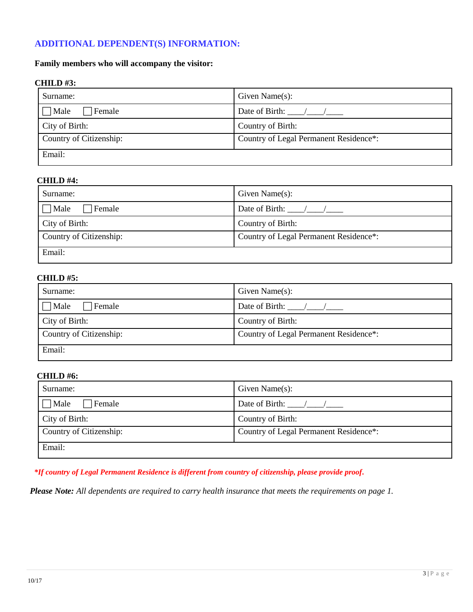### **ADDITIONAL DEPENDENT(S) INFORMATION:**

#### **Family members who will accompany the visitor:**

#### **CHILD #3:**

| Surname:                | Given Name $(s)$ :                     |
|-------------------------|----------------------------------------|
| Male<br>⊤Female         | Date of Birth: $\frac{1}{2}$ /         |
| City of Birth:          | Country of Birth:                      |
| Country of Citizenship: | Country of Legal Permanent Residence*: |
| Email:                  |                                        |

#### **CHILD #4:**

| Surname:                | Given Name $(s)$ :                     |
|-------------------------|----------------------------------------|
| 7 Male<br>Female        | Date of Birth: $\frac{1}{2}$           |
| City of Birth:          | Country of Birth:                      |
| Country of Citizenship: | Country of Legal Permanent Residence*: |
| Email:                  |                                        |

#### **CHILD #5:**

| Surname:                | Given Name $(s)$ :                       |
|-------------------------|------------------------------------------|
| $\Box$ Male<br>⊤Female  | Date of Birth: $\frac{\sqrt{}}{\sqrt{}}$ |
| City of Birth:          | Country of Birth:                        |
| Country of Citizenship: | Country of Legal Permanent Residence*:   |
| Email:                  |                                          |

#### **CHILD #6:**

| Surname:                | Given Name $(s)$ :                     |
|-------------------------|----------------------------------------|
| ⊤Male<br>Female         | Date of Birth: /                       |
| City of Birth:          | Country of Birth:                      |
| Country of Citizenship: | Country of Legal Permanent Residence*: |
| Email:                  |                                        |

 *\*If country of Legal Permanent Residence is different from country of citizenship, please provide proof.*

*Please Note: All dependents are required to carry health insurance that meets the requirements on page 1.*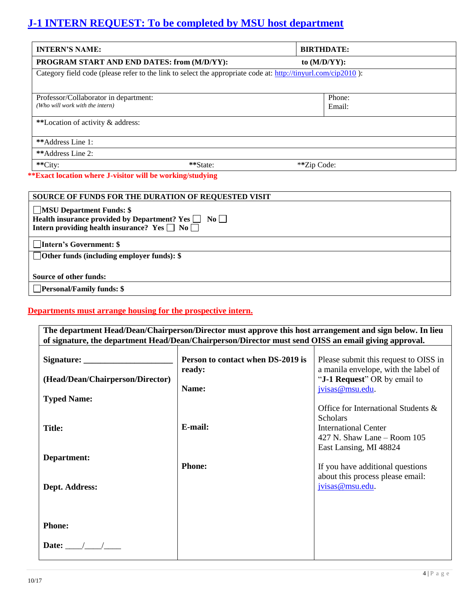# **J-1 INTERN REQUEST: To be completed by MSU host department**

| <b>INTERN'S NAME:</b>                                                                                         |          | <b>BIRTHDATE:</b> |  |
|---------------------------------------------------------------------------------------------------------------|----------|-------------------|--|
| PROGRAM START AND END DATES: from (M/D/YY):                                                                   |          | to $(M/D/YY)$ :   |  |
| Category field code (please refer to the link to select the appropriate code at: http://tinyurl.com/cip2010): |          |                   |  |
|                                                                                                               |          |                   |  |
| Professor/Collaborator in department:                                                                         |          | Phone:            |  |
| (Who will work with the intern)                                                                               |          | Email:            |  |
| **Location of activity & address:                                                                             |          |                   |  |
| **Address Line 1:                                                                                             |          |                   |  |
| **Address Line 2:                                                                                             |          |                   |  |
| **City:                                                                                                       | **State: | **Zip Code:       |  |

### **\*\*Exact location where J-visitor will be working/studying**

| <b>SOURCE OF FUNDS FOR THE DURATION OF REQUESTED VISIT</b>                                                                                                  |
|-------------------------------------------------------------------------------------------------------------------------------------------------------------|
| <b>MSU Department Funds: \$</b><br>Health insurance provided by Department? Yes $\Box$ No $\Box$<br>Intern providing health insurance? Yes $\Box$ No $\Box$ |
| Intern's Government: \$                                                                                                                                     |
| $\Box$ Other funds (including employer funds): $\$                                                                                                          |
| Source of other funds:                                                                                                                                      |
| $\Box$ Personal/Family funds: \$                                                                                                                            |

### **Departments must arrange housing for the prospective intern.**

| The department Head/Dean/Chairperson/Director must approve this host arrangement and sign below. In lieu |                                             |                                                                               |  |  |
|----------------------------------------------------------------------------------------------------------|---------------------------------------------|-------------------------------------------------------------------------------|--|--|
| of signature, the department Head/Dean/Chairperson/Director must send OISS an email giving approval.     |                                             |                                                                               |  |  |
|                                                                                                          |                                             |                                                                               |  |  |
|                                                                                                          | Person to contact when DS-2019 is<br>ready: | Please submit this request to OISS in<br>a manila envelope, with the label of |  |  |
| (Head/Dean/Chairperson/Director)                                                                         |                                             | " <b>J-1 Request</b> " OR by email to                                         |  |  |
|                                                                                                          | Name:                                       | jvisas@msu.edu.                                                               |  |  |
| <b>Typed Name:</b>                                                                                       |                                             |                                                                               |  |  |
|                                                                                                          |                                             | Office for International Students &<br><b>Scholars</b>                        |  |  |
| <b>Title:</b>                                                                                            | E-mail:                                     | <b>International Center</b>                                                   |  |  |
|                                                                                                          |                                             | 427 N. Shaw Lane $-$ Room 105                                                 |  |  |
|                                                                                                          |                                             | East Lansing, MI 48824                                                        |  |  |
| Department:                                                                                              |                                             |                                                                               |  |  |
|                                                                                                          | <b>Phone:</b>                               | If you have additional questions                                              |  |  |
|                                                                                                          |                                             | about this process please email:                                              |  |  |
| Dept. Address:                                                                                           |                                             | jvisas@msu.edu.                                                               |  |  |
|                                                                                                          |                                             |                                                                               |  |  |
|                                                                                                          |                                             |                                                                               |  |  |
|                                                                                                          |                                             |                                                                               |  |  |
| <b>Phone:</b>                                                                                            |                                             |                                                                               |  |  |
| Date: $\_\_$                                                                                             |                                             |                                                                               |  |  |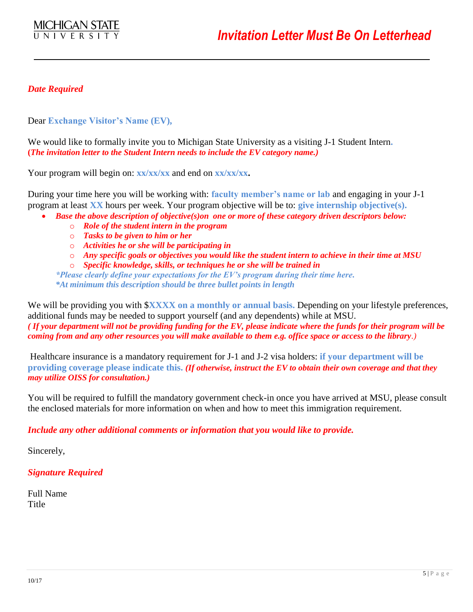### *Date Required*

Dear **Exchange Visitor's Name (EV),**

We would like to formally invite you to Michigan State University as a visiting J-1 Student Intern**. (***The invitation letter to the Student Intern needs to include the EV category name.)*

Your program will begin on: **xx/xx/xx** and end on **xx/xx/xx.** 

During your time here you will be working with: **faculty member's name or lab** and engaging in your J-1 program at least **XX** hours per week. Your program objective will be to: **give internship objective(s).**

- *Base the above description of objective(s)on one or more of these category driven descriptors below:*
	- o *Role of the student intern in the program*
	- o *Tasks to be given to him or her*
	- o *Activities he or she will be participating in*
	- o *Any specific goals or objectives you would like the student intern to achieve in their time at MSU*
	- o *Specific knowledge, skills, or techniques he or she will be trained in*

*\*Please clearly define your expectations for the EV's program during their time here. \*At minimum this description should be three bullet points in length*

We will be providing you with **\$XXXX** on a monthly or annual basis. Depending on your lifestyle preferences, additional funds may be needed to support yourself (and any dependents) while at MSU. *( If your department will not be providing funding for the EV, please indicate where the funds for their program will be coming from and any other resources you will make available to them e.g. office space or access to the library.)*

Healthcare insurance is a mandatory requirement for J-1 and J-2 visa holders: **if your department will be providing coverage please indicate this.** *(If otherwise, instruct the EV to obtain their own coverage and that they may utilize OISS for consultation.)*

You will be required to fulfill the mandatory government check-in once you have arrived at MSU, please consult the enclosed materials for more information on when and how to meet this immigration requirement.

*Include any other additional comments or information that you would like to provide.*

Sincerely,

*Signature Required*

Full Name Title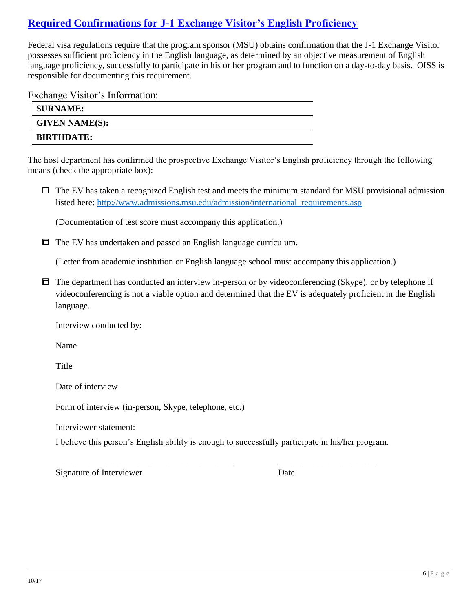## **Required Confirmations for J-1 Exchange Visitor's English Proficiency**

Federal visa regulations require that the program sponsor (MSU) obtains confirmation that the J-1 Exchange Visitor possesses sufficient proficiency in the English language, as determined by an objective measurement of English language proficiency, successfully to participate in his or her program and to function on a day-to-day basis. OISS is responsible for documenting this requirement.

Exchange Visitor's Information:

| <b>SURNAME:</b>       |  |
|-----------------------|--|
| <b>GIVEN NAME(S):</b> |  |
| <b>BIRTHDATE:</b>     |  |

The host department has confirmed the prospective Exchange Visitor's English proficiency through the following means (check the appropriate box):

 $\Box$  The EV has taken a recognized English test and meets the minimum standard for MSU provisional admission listed here: http://www.admissions.msu.edu/admission/international\_requirements.asp

(Documentation of test score must accompany this application.)

 $\Box$  The EV has undertaken and passed an English language curriculum.

(Letter from academic institution or English language school must accompany this application.)

 $\Box$  The department has conducted an interview in-person or by videoconferencing (Skype), or by telephone if videoconferencing is not a viable option and determined that the EV is adequately proficient in the English language.

Interview conducted by:

Name

**Title** 

Date of interview

Form of interview (in-person, Skype, telephone, etc.)

Interviewer statement:

I believe this person's English ability is enough to successfully participate in his/her program.

\_\_\_\_\_\_\_\_\_\_\_\_\_\_\_\_\_\_\_\_\_\_\_\_\_\_\_\_\_\_\_\_\_\_\_\_\_\_\_\_ \_\_\_\_\_\_\_\_\_\_\_\_\_\_\_\_\_\_\_\_\_\_

Signature of Interviewer Date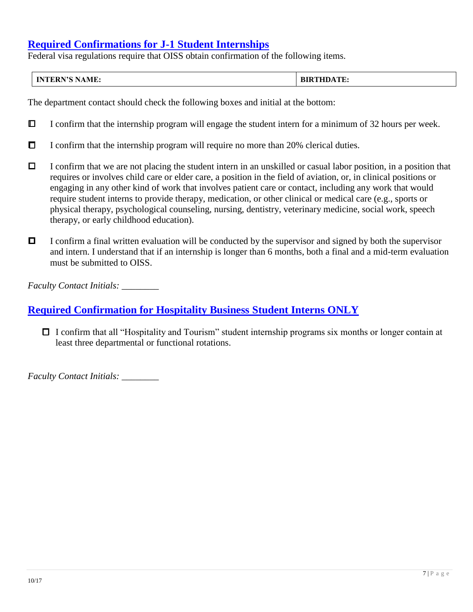## **Required Confirmations for J-1 Student Internships**

Federal visa regulations require that OISS obtain confirmation of the following items.

| <b>INTERN'S NAME:</b> | <b>BIRTHDATE:</b><br>-BIR. |
|-----------------------|----------------------------|
|-----------------------|----------------------------|

The department contact should check the following boxes and initial at the bottom:

- $\Box$  I confirm that the internship program will engage the student intern for a minimum of 32 hours per week.
- $\Box$  I confirm that the internship program will require no more than 20% clerical duties.
- $\Box$  I confirm that we are not placing the student intern in an unskilled or casual labor position, in a position that requires or involves child care or elder care, a position in the field of aviation, or, in clinical positions or engaging in any other kind of work that involves patient care or contact, including any work that would require student interns to provide therapy, medication, or other clinical or medical care (e.g., sports or physical therapy, psychological counseling, nursing, dentistry, veterinary medicine, social work, speech therapy, or early childhood education).
- $\Box$  I confirm a final written evaluation will be conducted by the supervisor and signed by both the supervisor and intern. I understand that if an internship is longer than 6 months, both a final and a mid-term evaluation must be submitted to OISS.

*Faculty Contact Initials: \_\_\_\_\_\_\_\_*

## **Required Confirmation for Hospitality Business Student Interns ONLY**

 $\Box$  I confirm that all "Hospitality and Tourism" student internship programs six months or longer contain at least three departmental or functional rotations.

*Faculty Contact Initials: \_\_\_\_\_\_\_\_*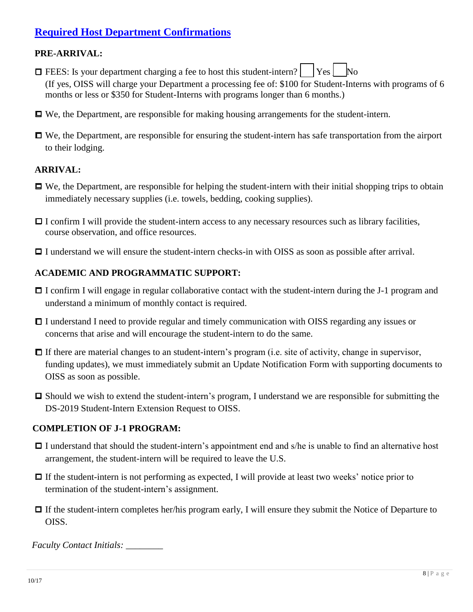## **Required Host Department Confirmations**

### **PRE-ARRIVAL:**

- $\Box$  FEES: Is your department charging a fee to host this student-intern?  $\vert$  Yes  $\vert$  No (If yes, OISS will charge your Department a processing fee of: \$100 for Student-Interns with programs of 6 months or less or \$350 for Student-Interns with programs longer than 6 months.)
- We, the Department, are responsible for making housing arrangements for the student-intern.
- We, the Department, are responsible for ensuring the student-intern has safe transportation from the airport to their lodging.

### **ARRIVAL:**

- $\Box$  We, the Department, are responsible for helping the student-intern with their initial shopping trips to obtain immediately necessary supplies (i.e. towels, bedding, cooking supplies).
- $\Box$  I confirm I will provide the student-intern access to any necessary resources such as library facilities, course observation, and office resources.
- $\Box$  I understand we will ensure the student-intern checks-in with OISS as soon as possible after arrival.

### **ACADEMIC AND PROGRAMMATIC SUPPORT:**

- $\Box$  I confirm I will engage in regular collaborative contact with the student-intern during the J-1 program and understand a minimum of monthly contact is required.
- □ I understand I need to provide regular and timely communication with OISS regarding any issues or concerns that arise and will encourage the student-intern to do the same.
- $\Box$  If there are material changes to an student-intern's program (i.e. site of activity, change in supervisor, funding updates), we must immediately submit an Update Notification Form with supporting documents to OISS as soon as possible.
- □ Should we wish to extend the student-intern's program, I understand we are responsible for submitting the DS-2019 Student-Intern Extension Request to OISS.

### **COMPLETION OF J-1 PROGRAM:**

- $\Box$  I understand that should the student-intern's appointment end and s/he is unable to find an alternative host arrangement, the student-intern will be required to leave the U.S.
- $\Box$  If the student-intern is not performing as expected, I will provide at least two weeks' notice prior to termination of the student-intern's assignment.
- If the student-intern completes her/his program early, I will ensure they submit the Notice of Departure to OISS.

*Faculty Contact Initials:* \_\_\_\_\_\_\_\_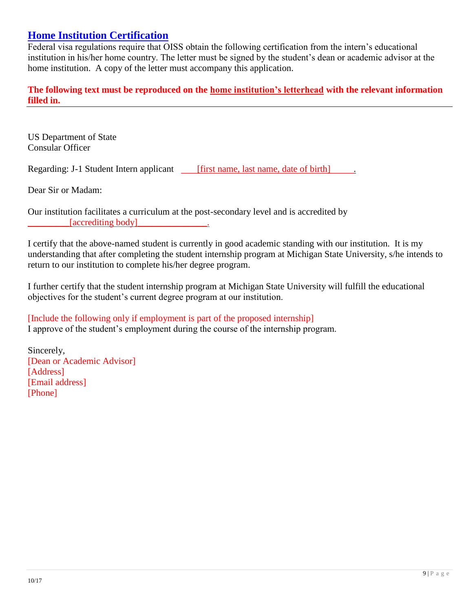## **Home Institution Certification**

Federal visa regulations require that OISS obtain the following certification from the intern's educational institution in his/her home country. The letter must be signed by the student's dean or academic advisor at the home institution. A copy of the letter must accompany this application.

**The following text must be reproduced on the home institution's letterhead with the relevant information filled in.**

US Department of State Consular Officer

Regarding: J-1 Student Intern applicant [first name, last name, date of birth] .

Dear Sir or Madam:

Our institution facilitates a curriculum at the post-secondary level and is accredited by [accrediting body]

I certify that the above-named student is currently in good academic standing with our institution. It is my understanding that after completing the student internship program at Michigan State University, s/he intends to return to our institution to complete his/her degree program.

I further certify that the student internship program at Michigan State University will fulfill the educational objectives for the student's current degree program at our institution.

[Include the following only if employment is part of the proposed internship] I approve of the student's employment during the course of the internship program.

Sincerely, [Dean or Academic Advisor] [Address] [Email address] [Phone]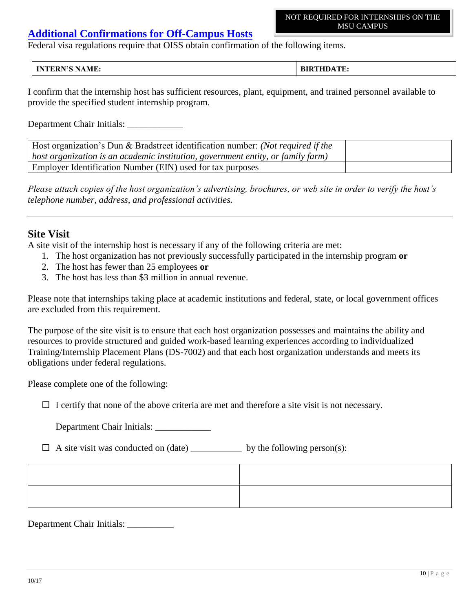#### NOT REQUIRED FOR INTERNSHIPS ON THE MSU CAMPUS

## **Additional Confirmations for Off-Campus Hosts**

Federal visa regulations require that OISS obtain confirmation of the following items.

#### **INTERN'S NAME: BIRTHDATE:**

I confirm that the internship host has sufficient resources, plant, equipment, and trained personnel available to provide the specified student internship program.

Department Chair Initials:

| Host organization's Dun & Bradstreet identification number: (Not required if the |  |
|----------------------------------------------------------------------------------|--|
| host organization is an academic institution, government entity, or family farm) |  |
| <b>Employer Identification Number (EIN) used for tax purposes</b>                |  |

*Please attach copies of the host organization's advertising, brochures, or web site in order to verify the host's telephone number, address, and professional activities.*

## **Site Visit**

A site visit of the internship host is necessary if any of the following criteria are met:

- 1. The host organization has not previously successfully participated in the internship program **or**
- 2. The host has fewer than 25 employees **or**
- 3. The host has less than \$3 million in annual revenue.

Please note that internships taking place at academic institutions and federal, state, or local government offices are excluded from this requirement.

The purpose of the site visit is to ensure that each host organization possesses and maintains the ability and resources to provide structured and guided work-based learning experiences according to individualized Training/Internship Placement Plans (DS-7002) and that each host organization understands and meets its obligations under federal regulations.

Please complete one of the following:

 $\Box$  I certify that none of the above criteria are met and therefore a site visit is not necessary.

Department Chair Initials:

 $\Box$  A site visit was conducted on (date) \_\_\_\_\_\_\_\_\_\_\_\_\_ by the following person(s):

Department Chair Initials: